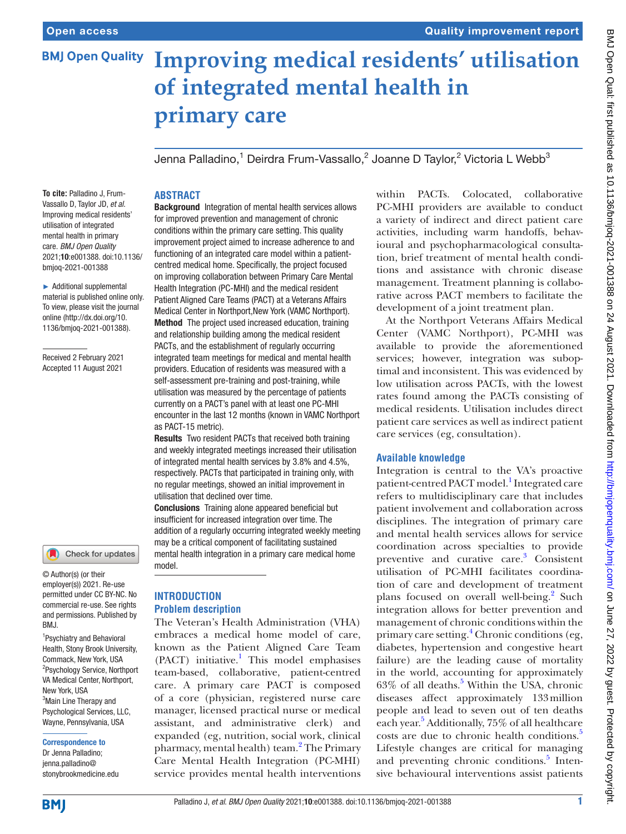**BMJ Open Quality** 

# **Improving medical residents' utilisation of integrated mental health in primary care**

Jenna Palladino, $^1$  Deirdra Frum-Vassallo, $^2$  Joanne D Taylor, $^2$  Victoria L Webb $^3$ 

## **ABSTRACT**

**To cite:** Palladino J, Frum-Vassallo D, Taylor JD, *et al*. Improving medical residents' utilisation of integrated mental health in primary care. *BMJ Open Quality* 2021;10:e001388. doi:10.1136/ bmjoq-2021-001388

► Additional supplemental material is published online only. To view, please visit the journal online [\(http://dx.doi.org/10.](http://dx.doi.org/10.1136/bmjoq-2021-001388) [1136/bmjoq-2021-001388](http://dx.doi.org/10.1136/bmjoq-2021-001388)).

Received 2 February 2021 Accepted 11 August 2021



© Author(s) (or their employer(s)) 2021. Re-use permitted under CC BY-NC. No commercial re-use. See rights and permissions. Published by RM<sub>J</sub>

<sup>1</sup> Psychiatry and Behavioral Health, Stony Brook University, Commack, New York, USA <sup>2</sup>Psychology Service, Northport VA Medical Center, Northport, New York, USA <sup>3</sup>Main Line Therapy and Psychological Services, LLC, Wayne, Pennsylvania, USA

#### Correspondence to

Dr Jenna Palladino; jenna.palladino@ stonybrookmedicine.edu

Background Integration of mental health services allows for improved prevention and management of chronic conditions within the primary care setting. This quality improvement project aimed to increase adherence to and functioning of an integrated care model within a patientcentred medical home. Specifically, the project focused on improving collaboration between Primary Care Mental Health Integration (PC-MHI) and the medical resident Patient Aligned Care Teams (PACT) at a Veterans Affairs Medical Center in Northport,New York (VAMC Northport). Method The project used increased education, training and relationship building among the medical resident PACTs, and the establishment of regularly occurring integrated team meetings for medical and mental health providers. Education of residents was measured with a self-assessment pre-training and post-training, while utilisation was measured by the percentage of patients currently on a PACT's panel with at least one PC-MHI encounter in the last 12 months (known in VAMC Northport as PACT-15 metric).

Results Two resident PACTs that received both training and weekly integrated meetings increased their utilisation of integrated mental health services by 3.8% and 4.5%, respectively. PACTs that participated in training only, with no regular meetings, showed an initial improvement in utilisation that declined over time.

Conclusions Training alone appeared beneficial but insufficient for increased integration over time. The addition of a regularly occurring integrated weekly meeting may be a critical component of facilitating sustained mental health integration in a primary care medical home model.

## **INTRODUCTION Problem description**

The Veteran's Health Administration (VHA) embraces a medical home model of care, known as the Patient Aligned Care Team (PACT) initiative.<sup>[1](#page-5-0)</sup> This model emphasises team-based, collaborative, patient-centred care. A primary care PACT is composed of a core (physician, registered nurse care manager, licensed practical nurse or medical assistant, and administrative clerk) and expanded (eg, nutrition, social work, clinical pharmacy, mental health) team.<sup>[2](#page-5-1)</sup> The Primary Care Mental Health Integration (PC-MHI) service provides mental health interventions

within PACTs. Colocated, collaborative PC-MHI providers are available to conduct a variety of indirect and direct patient care activities, including warm handoffs, behavioural and psychopharmacological consultation, brief treatment of mental health conditions and assistance with chronic disease management. Treatment planning is collaborative across PACT members to facilitate the development of a joint treatment plan.

At the Northport Veterans Affairs Medical Center (VAMC Northport), PC-MHI was available to provide the aforementioned services; however, integration was suboptimal and inconsistent. This was evidenced by low utilisation across PACTs, with the lowest rates found among the PACTs consisting of medical residents. Utilisation includes direct patient care services as well as indirect patient care services (eg, consultation).

#### **Available knowledge**

Integration is central to the VA's proactive patient-centred PACT model.<sup>[1](#page-5-0)</sup> Integrated care refers to multidisciplinary care that includes patient involvement and collaboration across disciplines. The integration of primary care and mental health services allows for service coordination across specialties to provide preventive and curative care.<sup>[3](#page-5-2)</sup> Consistent utilisation of PC-MHI facilitates coordination of care and development of treatment plans focused on overall well-being.<sup>[2](#page-5-1)</sup> Such integration allows for better prevention and management of chronic conditions within the primary care setting.<sup>[4](#page-5-3)</sup> Chronic conditions (eg, diabetes, hypertension and congestive heart failure) are the leading cause of mortality in the world, accounting for approximately  $63\%$  of all deaths.<sup>5</sup> Within the USA, chronic diseases affect approximately 133million people and lead to seven out of ten deaths each year.<sup>[5](#page-5-4)</sup> Additionally, 75% of all healthcare costs are due to chronic health conditions.<sup>[5](#page-5-4)</sup> Lifestyle changes are critical for managing and preventing chronic conditions.<sup>[5](#page-5-4)</sup> Intensive behavioural interventions assist patients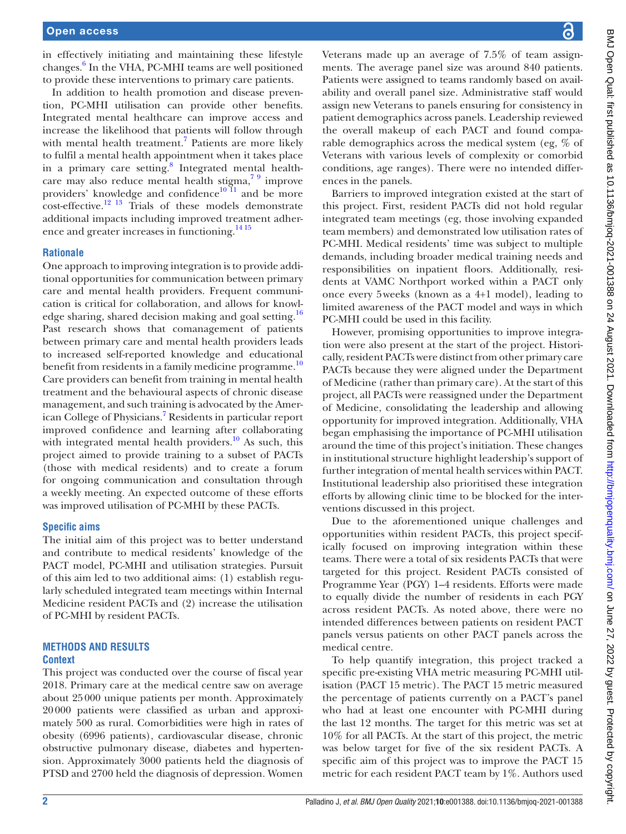in effectively initiating and maintaining these lifestyle changes.<sup>6</sup> In the VHA, PC-MHI teams are well positioned to provide these interventions to primary care patients.

In addition to health promotion and disease prevention, PC-MHI utilisation can provide other benefits. Integrated mental healthcare can improve access and increase the likelihood that patients will follow through with mental health treatment.<sup>[7](#page-6-1)</sup> Patients are more likely to fulfil a mental health appointment when it takes place in a primary care setting.<sup>8</sup> Integrated mental healthcare may also reduce mental health stigma, $79$  improve providers' knowledge and confidence<sup>10 11</sup> and be more  $\frac{1}{\csc 12}$  cost-effective.<sup>12</sup> <sup>13</sup> Trials of these models demonstrate additional impacts including improved treatment adherence and greater increases in functioning.<sup>1415</sup>

#### **Rationale**

One approach to improving integration is to provide additional opportunities for communication between primary care and mental health providers. Frequent communication is critical for collaboration, and allows for knowl-edge sharing, shared decision making and goal setting.<sup>[16](#page-6-6)</sup> Past research shows that comanagement of patients between primary care and mental health providers leads to increased self-reported knowledge and educational benefit from residents in a family medicine programme.<sup>[10](#page-6-3)</sup> Care providers can benefit from training in mental health treatment and the behavioural aspects of chronic disease management, and such training is advocated by the Amer-ican College of Physicians.<sup>[7](#page-6-1)</sup> Residents in particular report improved confidence and learning after collaborating with integrated mental health providers.<sup>[10](#page-6-3)</sup> As such, this project aimed to provide training to a subset of PACTs (those with medical residents) and to create a forum for ongoing communication and consultation through a weekly meeting. An expected outcome of these efforts was improved utilisation of PC-MHI by these PACTs.

#### **Specific aims**

The initial aim of this project was to better understand and contribute to medical residents' knowledge of the PACT model, PC-MHI and utilisation strategies. Pursuit of this aim led to two additional aims: (1) establish regularly scheduled integrated team meetings within Internal Medicine resident PACTs and (2) increase the utilisation of PC-MHI by resident PACTs.

#### **METHODS AND RESULTS Context**

This project was conducted over the course of fiscal year 2018. Primary care at the medical centre saw on average about 25000 unique patients per month. Approximately 20000 patients were classified as urban and approximately 500 as rural. Comorbidities were high in rates of obesity (6996 patients), cardiovascular disease, chronic obstructive pulmonary disease, diabetes and hypertension. Approximately 3000 patients held the diagnosis of PTSD and 2700 held the diagnosis of depression. Women

Veterans made up an average of 7.5% of team assignments. The average panel size was around 840 patients. Patients were assigned to teams randomly based on availability and overall panel size. Administrative staff would assign new Veterans to panels ensuring for consistency in patient demographics across panels. Leadership reviewed the overall makeup of each PACT and found comparable demographics across the medical system (eg, % of Veterans with various levels of complexity or comorbid conditions, age ranges). There were no intended differences in the panels.

Barriers to improved integration existed at the start of this project. First, resident PACTs did not hold regular integrated team meetings (eg, those involving expanded team members) and demonstrated low utilisation rates of PC-MHI. Medical residents' time was subject to multiple demands, including broader medical training needs and responsibilities on inpatient floors. Additionally, residents at VAMC Northport worked within a PACT only once every 5weeks (known as a 4+1 model), leading to limited awareness of the PACT model and ways in which PC-MHI could be used in this facility.

However, promising opportunities to improve integration were also present at the start of the project. Historically, resident PACTs were distinct from other primary care PACTs because they were aligned under the Department of Medicine (rather than primary care). At the start of this project, all PACTs were reassigned under the Department of Medicine, consolidating the leadership and allowing opportunity for improved integration. Additionally, VHA began emphasising the importance of PC-MHI utilisation around the time of this project's initiation. These changes in institutional structure highlight leadership's support of further integration of mental health services within PACT. Institutional leadership also prioritised these integration efforts by allowing clinic time to be blocked for the interventions discussed in this project.

Due to the aforementioned unique challenges and opportunities within resident PACTs, this project specifically focused on improving integration within these teams. There were a total of six residents PACTs that were targeted for this project. Resident PACTs consisted of Programme Year (PGY) 1–4 residents. Efforts were made to equally divide the number of residents in each PGY across resident PACTs. As noted above, there were no intended differences between patients on resident PACT panels versus patients on other PACT panels across the medical centre.

To help quantify integration, this project tracked a specific pre-existing VHA metric measuring PC-MHI utilisation (PACT 15 metric). The PACT 15 metric measured the percentage of patients currently on a PACT's panel who had at least one encounter with PC-MHI during the last 12 months. The target for this metric was set at 10% for all PACTs. At the start of this project, the metric was below target for five of the six resident PACTs. A specific aim of this project was to improve the PACT 15 metric for each resident PACT team by 1%. Authors used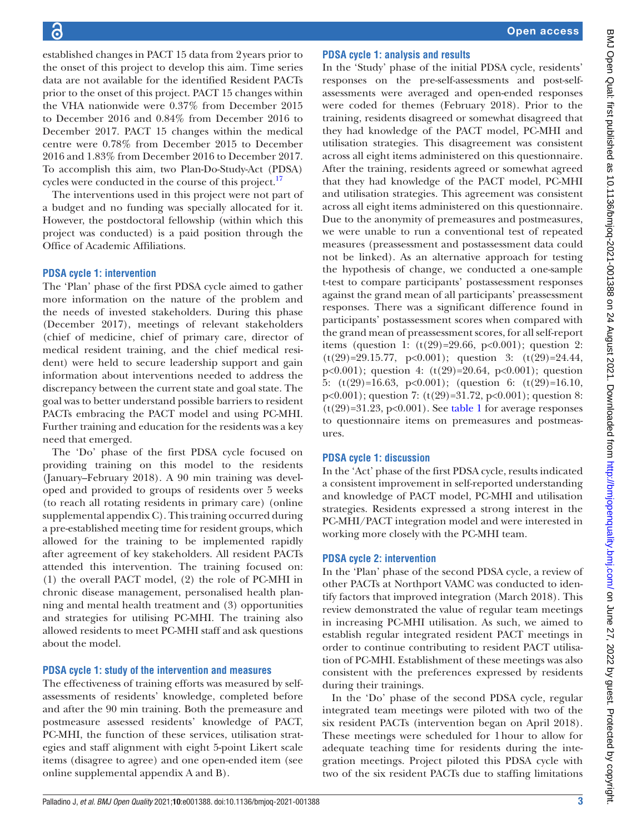established changes in PACT 15 data from 2years prior to the onset of this project to develop this aim. Time series data are not available for the identified Resident PACTs prior to the onset of this project. PACT 15 changes within the VHA nationwide were 0.37% from December 2015 to December 2016 and 0.84% from December 2016 to December 2017. PACT 15 changes within the medical centre were 0.78% from December 2015 to December 2016 and 1.83% from December 2016 to December 2017. To accomplish this aim, two Plan-Do-Study-Act (PDSA) cycles were conducted in the course of this project.<sup>17</sup>

The interventions used in this project were not part of a budget and no funding was specially allocated for it. However, the postdoctoral fellowship (within which this project was conducted) is a paid position through the Office of Academic Affiliations.

#### **PDSA cycle 1: intervention**

The 'Plan' phase of the first PDSA cycle aimed to gather more information on the nature of the problem and the needs of invested stakeholders. During this phase (December 2017), meetings of relevant stakeholders (chief of medicine, chief of primary care, director of medical resident training, and the chief medical resident) were held to secure leadership support and gain information about interventions needed to address the discrepancy between the current state and goal state. The goal was to better understand possible barriers to resident PACTs embracing the PACT model and using PC-MHI. Further training and education for the residents was a key need that emerged.

The 'Do' phase of the first PDSA cycle focused on providing training on this model to the residents (January–February 2018). A 90 min training was developed and provided to groups of residents over 5 weeks (to reach all rotating residents in primary care) [\(online](https://dx.doi.org/10.1136/bmjoq-2021-001388) [supplemental appendix C](https://dx.doi.org/10.1136/bmjoq-2021-001388)). This training occurred during a pre-established meeting time for resident groups, which allowed for the training to be implemented rapidly after agreement of key stakeholders. All resident PACTs attended this intervention. The training focused on: (1) the overall PACT model, (2) the role of PC-MHI in chronic disease management, personalised health planning and mental health treatment and (3) opportunities and strategies for utilising PC-MHI. The training also allowed residents to meet PC-MHI staff and ask questions about the model.

#### **PDSA cycle 1: study of the intervention and measures**

The effectiveness of training efforts was measured by selfassessments of residents' knowledge, completed before and after the 90 min training. Both the premeasure and postmeasure assessed residents' knowledge of PACT, PC-MHI, the function of these services, utilisation strategies and staff alignment with eight 5-point Likert scale items (disagree to agree) and one open-ended item (see [online supplemental appendix A and B\)](https://dx.doi.org/10.1136/bmjoq-2021-001388).

#### **PDSA cycle 1: analysis and results**

In the 'Study' phase of the initial PDSA cycle, residents' responses on the pre-self-assessments and post-selfassessments were averaged and open-ended responses were coded for themes (February 2018). Prior to the training, residents disagreed or somewhat disagreed that they had knowledge of the PACT model, PC-MHI and utilisation strategies. This disagreement was consistent across all eight items administered on this questionnaire. After the training, residents agreed or somewhat agreed that they had knowledge of the PACT model, PC-MHI and utilisation strategies. This agreement was consistent across all eight items administered on this questionnaire. Due to the anonymity of premeasures and postmeasures, we were unable to run a conventional test of repeated measures (preassessment and postassessment data could not be linked). As an alternative approach for testing the hypothesis of change, we conducted a one-sample t-test to compare participants' postassessment responses against the grand mean of all participants' preassessment responses. There was a significant difference found in participants' postassessment scores when compared with the grand mean of preassessment scores, for all self-report items (question 1:  $(t(29)=29.66, p<0.001)$ ; question 2:  $(t(29)=29.15.77, p<0.001)$ ; question 3:  $(t(29)=24.44,$ p<0.001); question 4: (t(29)=20.64, p<0.001); question 5: (t(29)=16.63, p<0.001); (question 6: (t(29)=16.10, p<0.001); question 7: (t(29)=31.72, p<0.001); question 8:  $(t(29)=31.23, p<0.001)$ . See [table](#page-3-0) 1 for average responses to questionnaire items on premeasures and postmeasures.

#### **PDSA cycle 1: discussion**

In the 'Act' phase of the first PDSA cycle, results indicated a consistent improvement in self-reported understanding and knowledge of PACT model, PC-MHI and utilisation strategies. Residents expressed a strong interest in the PC-MHI/PACT integration model and were interested in working more closely with the PC-MHI team.

#### **PDSA cycle 2: intervention**

In the 'Plan' phase of the second PDSA cycle, a review of other PACTs at Northport VAMC was conducted to identify factors that improved integration (March 2018). This review demonstrated the value of regular team meetings in increasing PC-MHI utilisation. As such, we aimed to establish regular integrated resident PACT meetings in order to continue contributing to resident PACT utilisation of PC-MHI. Establishment of these meetings was also consistent with the preferences expressed by residents during their trainings.

In the 'Do' phase of the second PDSA cycle, regular integrated team meetings were piloted with two of the six resident PACTs (intervention began on April 2018). These meetings were scheduled for 1hour to allow for adequate teaching time for residents during the integration meetings. Project piloted this PDSA cycle with two of the six resident PACTs due to staffing limitations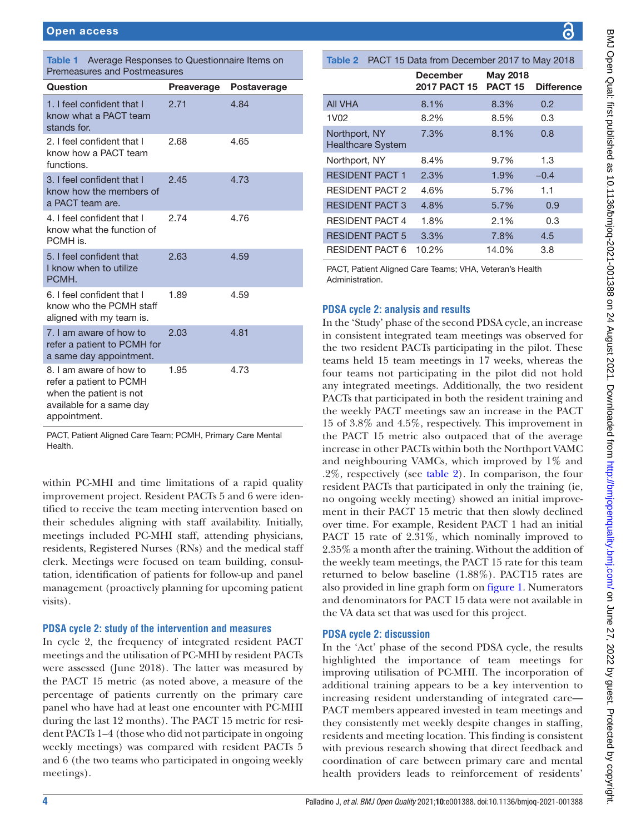<span id="page-3-0"></span>

|                              | <b>Table 1</b> Average Responses to Questionnaire Items on |  |  |  |
|------------------------------|------------------------------------------------------------|--|--|--|
| Premeasures and Postmeasures |                                                            |  |  |  |

| <b>Question</b>                                                                                                           |            |             |
|---------------------------------------------------------------------------------------------------------------------------|------------|-------------|
|                                                                                                                           | Preaverage | Postaverage |
| 1. I feel confident that I<br>know what a PACT team<br>stands for.                                                        | 2.71       | 4.84        |
| 2. I feel confident that I<br>know how a PACT team<br>functions.                                                          | 2.68       | 4.65        |
| 3. I feel confident that I<br>know how the members of<br>a PACT team are.                                                 | 2.45       | 4.73        |
| 4. I feel confident that I<br>know what the function of<br>PCMH is.                                                       | 2.74       | 4.76        |
| 5. I feel confident that<br>I know when to utilize<br>PCMH.                                                               | 2.63       | 4.59        |
| 6. I feel confident that I<br>know who the PCMH staff<br>aligned with my team is.                                         | 1.89       | 4.59        |
| 7. I am aware of how to<br>refer a patient to PCMH for<br>a same day appointment.                                         | 203        | 4.81        |
| 8. I am aware of how to<br>refer a patient to PCMH<br>when the patient is not<br>available for a same day<br>appointment. | 1.95       | 4.73        |

PACT, Patient Aligned Care Team; PCMH, Primary Care Mental Health.

within PC-MHI and time limitations of a rapid quality improvement project. Resident PACTs 5 and 6 were identified to receive the team meeting intervention based on their schedules aligning with staff availability. Initially, meetings included PC-MHI staff, attending physicians, residents, Registered Nurses (RNs) and the medical staff clerk. Meetings were focused on team building, consultation, identification of patients for follow-up and panel management (proactively planning for upcoming patient visits).

#### **PDSA cycle 2: study of the intervention and measures**

In cycle 2, the frequency of integrated resident PACT meetings and the utilisation of PC-MHI by resident PACTs were assessed (June 2018). The latter was measured by the PACT 15 metric (as noted above, a measure of the percentage of patients currently on the primary care panel who have had at least one encounter with PC-MHI during the last 12 months). The PACT 15 metric for resident PACTs 1–4 (those who did not participate in ongoing weekly meetings) was compared with resident PACTs 5 and 6 (the two teams who participated in ongoing weekly meetings).

<span id="page-3-1"></span>

| Table 2 PACT 15 Data from December 2017 to May 2018 |                                 |                                       |                   |  |  |
|-----------------------------------------------------|---------------------------------|---------------------------------------|-------------------|--|--|
|                                                     | December<br><b>2017 PACT 15</b> | <b>May 2018</b><br>PACT <sub>15</sub> | <b>Difference</b> |  |  |
| AII VHA                                             | 8.1%                            | 8.3%                                  | 0.2               |  |  |
| 1V02                                                | 8.2%                            | 8.5%                                  | 0.3               |  |  |
| Northport, NY<br><b>Healthcare System</b>           | 7.3%                            | 8.1%                                  | 0.8               |  |  |
| Northport, NY                                       | 8.4%                            | 9.7%                                  | 1.3               |  |  |
| <b>RESIDENT PACT 1</b>                              | 2.3%                            | 1.9%                                  | $-0.4$            |  |  |
| <b>RESIDENT PACT 2</b>                              | 4.6%                            | 5.7%                                  | 1.1               |  |  |
| <b>RESIDENT PACT 3</b>                              | 4.8%                            | 5.7%                                  | 0.9               |  |  |
| <b>RESIDENT PACT 4</b>                              | 1.8%                            | 2.1%                                  | 0.3               |  |  |
| <b>RESIDENT PACT 5</b>                              | 3.3%                            | 7.8%                                  | 4.5               |  |  |
| <b>RESIDENT PACT 6</b>                              | 10.2%                           | 14.0%                                 | 3.8               |  |  |

PACT, Patient Aligned Care Teams; VHA, Veteran's Health Administration.

## **PDSA cycle 2: analysis and results**

In the 'Study' phase of the second PDSA cycle, an increase in consistent integrated team meetings was observed for the two resident PACTs participating in the pilot. These teams held 15 team meetings in 17 weeks, whereas the four teams not participating in the pilot did not hold any integrated meetings. Additionally, the two resident PACTs that participated in both the resident training and the weekly PACT meetings saw an increase in the PACT 15 of 3.8% and 4.5%, respectively. This improvement in the PACT 15 metric also outpaced that of the average increase in other PACTs within both the Northport VAMC and neighbouring VAMCs, which improved by 1% and .2%, respectively (see [table](#page-3-1) 2). In comparison, the four resident PACTs that participated in only the training (ie, no ongoing weekly meeting) showed an initial improvement in their PACT 15 metric that then slowly declined over time. For example, Resident PACT 1 had an initial PACT 15 rate of 2.31%, which nominally improved to 2.35% a month after the training. Without the addition of the weekly team meetings, the PACT 15 rate for this team returned to below baseline (1.88%). PACT15 rates are also provided in line graph form on [figure](#page-4-0) 1. Numerators and denominators for PACT 15 data were not available in the VA data set that was used for this project.

## **PDSA cycle 2: discussion**

In the 'Act' phase of the second PDSA cycle, the results highlighted the importance of team meetings for improving utilisation of PC-MHI. The incorporation of additional training appears to be a key intervention to increasing resident understanding of integrated care— PACT members appeared invested in team meetings and they consistently met weekly despite changes in staffing, residents and meeting location. This finding is consistent with previous research showing that direct feedback and coordination of care between primary care and mental health providers leads to reinforcement of residents'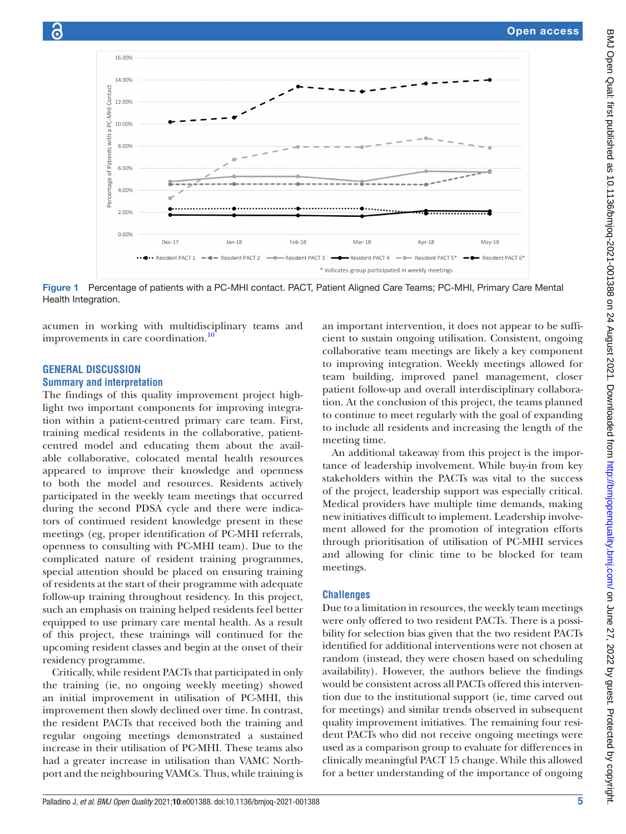

<span id="page-4-0"></span>Figure 1 Percentage of patients with a PC-MHI contact. PACT, Patient Aligned Care Teams; PC-MHI, Primary Care Mental Health Integration.

acumen in working with multidisciplinary teams and improvements in care coordination.<sup>10</sup>

# **GENERAL DISCUSSION**

#### **Summary and interpretation**

The findings of this quality improvement project highlight two important components for improving integration within a patient-centred primary care team. First, training medical residents in the collaborative, patientcentred model and educating them about the available collaborative, colocated mental health resources appeared to improve their knowledge and openness to both the model and resources. Residents actively participated in the weekly team meetings that occurred during the second PDSA cycle and there were indicators of continued resident knowledge present in these meetings (eg, proper identification of PC-MHI referrals, openness to consulting with PC-MHI team). Due to the complicated nature of resident training programmes, special attention should be placed on ensuring training of residents at the start of their programme with adequate follow-up training throughout residency. In this project, such an emphasis on training helped residents feel better equipped to use primary care mental health. As a result of this project, these trainings will continued for the upcoming resident classes and begin at the onset of their residency programme.

Critically, while resident PACTs that participated in only the training (ie, no ongoing weekly meeting) showed an initial improvement in utilisation of PC-MHI, this improvement then slowly declined over time. In contrast, the resident PACTs that received both the training and regular ongoing meetings demonstrated a sustained increase in their utilisation of PC-MHI. These teams also had a greater increase in utilisation than VAMC Northport and the neighbouring VAMCs. Thus, while training is

an important intervention, it does not appear to be sufficient to sustain ongoing utilisation. Consistent, ongoing collaborative team meetings are likely a key component to improving integration. Weekly meetings allowed for team building, improved panel management, closer patient follow-up and overall interdisciplinary collaboration. At the conclusion of this project, the teams planned to continue to meet regularly with the goal of expanding to include all residents and increasing the length of the meeting time.

An additional takeaway from this project is the importance of leadership involvement. While buy-in from key stakeholders within the PACTs was vital to the success of the project, leadership support was especially critical. Medical providers have multiple time demands, making new initiatives difficult to implement. Leadership involvement allowed for the promotion of integration efforts through prioritisation of utilisation of PC-MHI services and allowing for clinic time to be blocked for team meetings.

#### **Challenges**

Due to a limitation in resources, the weekly team meetings were only offered to two resident PACTs. There is a possibility for selection bias given that the two resident PACTs identified for additional interventions were not chosen at random (instead, they were chosen based on scheduling availability). However, the authors believe the findings would be consistent across all PACTs offered this intervention due to the institutional support (ie, time carved out for meetings) and similar trends observed in subsequent quality improvement initiatives. The remaining four resident PACTs who did not receive ongoing meetings were used as a comparison group to evaluate for differences in clinically meaningful PACT 15 change. While this allowed for a better understanding of the importance of ongoing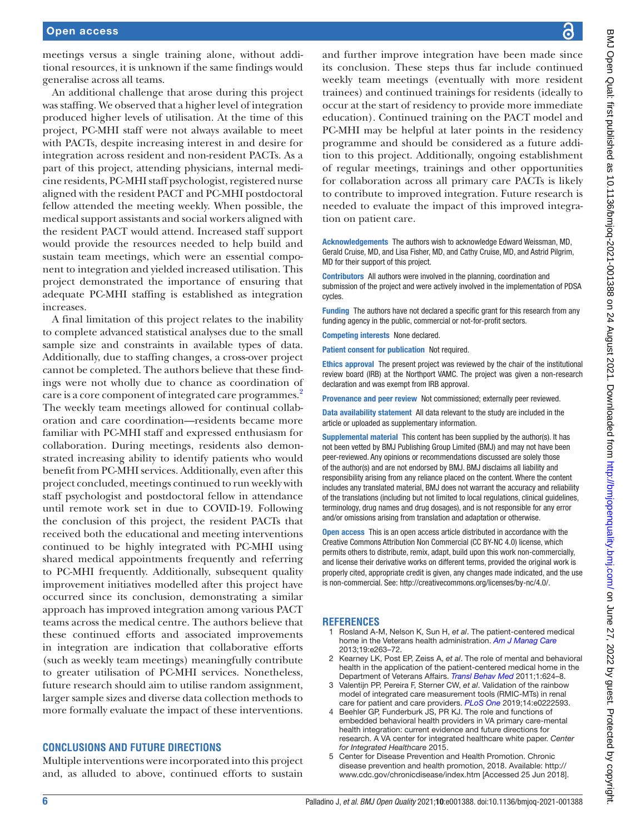meetings versus a single training alone, without additional resources, it is unknown if the same findings would generalise across all teams.

An additional challenge that arose during this project was staffing. We observed that a higher level of integration produced higher levels of utilisation. At the time of this project, PC-MHI staff were not always available to meet with PACTs, despite increasing interest in and desire for integration across resident and non-resident PACTs. As a part of this project, attending physicians, internal medicine residents, PC-MHI staff psychologist, registered nurse aligned with the resident PACT and PC-MHI postdoctoral fellow attended the meeting weekly. When possible, the medical support assistants and social workers aligned with the resident PACT would attend. Increased staff support would provide the resources needed to help build and sustain team meetings, which were an essential component to integration and yielded increased utilisation. This project demonstrated the importance of ensuring that adequate PC-MHI staffing is established as integration increases.

A final limitation of this project relates to the inability to complete advanced statistical analyses due to the small sample size and constraints in available types of data. Additionally, due to staffing changes, a cross-over project cannot be completed. The authors believe that these findings were not wholly due to chance as coordination of care is a core component of integrated care programmes.<sup>[2](#page-5-1)</sup> The weekly team meetings allowed for continual collaboration and care coordination—residents became more familiar with PC-MHI staff and expressed enthusiasm for collaboration. During meetings, residents also demonstrated increasing ability to identify patients who would benefit from PC-MHI services. Additionally, even after this project concluded, meetings continued to run weekly with staff psychologist and postdoctoral fellow in attendance until remote work set in due to COVID-19. Following the conclusion of this project, the resident PACTs that received both the educational and meeting interventions continued to be highly integrated with PC-MHI using shared medical appointments frequently and referring to PC-MHI frequently. Additionally, subsequent quality improvement initiatives modelled after this project have occurred since its conclusion, demonstrating a similar approach has improved integration among various PACT teams across the medical centre. The authors believe that these continued efforts and associated improvements in integration are indication that collaborative efforts (such as weekly team meetings) meaningfully contribute to greater utilisation of PC-MHI services. Nonetheless, future research should aim to utilise random assignment, larger sample sizes and diverse data collection methods to more formally evaluate the impact of these interventions.

#### **CONCLUSIONS AND FUTURE DIRECTIONS**

Multiple interventions were incorporated into this project and, as alluded to above, continued efforts to sustain

and further improve integration have been made since its conclusion. These steps thus far include continued weekly team meetings (eventually with more resident trainees) and continued trainings for residents (ideally to occur at the start of residency to provide more immediate education). Continued training on the PACT model and PC-MHI may be helpful at later points in the residency programme and should be considered as a future addition to this project. Additionally, ongoing establishment of regular meetings, trainings and other opportunities for collaboration across all primary care PACTs is likely to contribute to improved integration. Future research is needed to evaluate the impact of this improved integration on patient care.

Acknowledgements The authors wish to acknowledge Edward Weissman, MD, Gerald Cruise, MD, and Lisa Fisher, MD, and Cathy Cruise, MD, and Astrid Pilgrim, MD for their support of this project.

Contributors All authors were involved in the planning, coordination and submission of the project and were actively involved in the implementation of PDSA cycles.

Funding The authors have not declared a specific grant for this research from any funding agency in the public, commercial or not-for-profit sectors.

Competing interests None declared.

Patient consent for publication Not required.

Ethics approval The present project was reviewed by the chair of the institutional review board (IRB) at the Northport VAMC. The project was given a non-research declaration and was exempt from IRB approval.

Provenance and peer review Not commissioned; externally peer reviewed.

Data availability statement All data relevant to the study are included in the article or uploaded as supplementary information.

Supplemental material This content has been supplied by the author(s). It has not been vetted by BMJ Publishing Group Limited (BMJ) and may not have been peer-reviewed. Any opinions or recommendations discussed are solely those of the author(s) and are not endorsed by BMJ. BMJ disclaims all liability and responsibility arising from any reliance placed on the content. Where the content includes any translated material, BMJ does not warrant the accuracy and reliability of the translations (including but not limited to local regulations, clinical guidelines, terminology, drug names and drug dosages), and is not responsible for any error and/or omissions arising from translation and adaptation or otherwise.

**Open access** This is an open access article distributed in accordance with the Creative Commons Attribution Non Commercial (CC BY-NC 4.0) license, which permits others to distribute, remix, adapt, build upon this work non-commercially, and license their derivative works on different terms, provided the original work is properly cited, appropriate credit is given, any changes made indicated, and the use is non-commercial. See: [http://creativecommons.org/licenses/by-nc/4.0/.](http://creativecommons.org/licenses/by-nc/4.0/)

#### **REFERENCES**

- <span id="page-5-0"></span>1 Rosland A-M, Nelson K, Sun H, *et al*. The patient-centered medical home in the Veterans health administration. *[Am J Manag Care](http://www.ncbi.nlm.nih.gov/pubmed/23919446)* 2013;19:e263–72.
- <span id="page-5-1"></span>2 Kearney LK, Post EP, Zeiss A, *et al*. The role of mental and behavioral health in the application of the patient-centered medical home in the Department of Veterans Affairs. *[Transl Behav Med](http://dx.doi.org/10.1007/s13142-011-0093-4)* 2011;1:624–8.
- <span id="page-5-2"></span>3 Valentijn PP, Pereira F, Sterner CW, *et al*. Validation of the rainbow model of integrated care measurement tools (RMIC-MTs) in renal care for patient and care providers. *[PLoS One](http://dx.doi.org/10.1371/journal.pone.0222593)* 2019;14:e0222593.
- <span id="page-5-3"></span>Beehler GP, Funderburk JS, PR KJ. The role and functions of embedded behavioral health providers in VA primary care-mental health integration: current evidence and future directions for research. A VA center for integrated healthcare white paper. *Center for Integrated Healthcare* 2015.
- <span id="page-5-4"></span>5 Center for Disease Prevention and Health Promotion. Chronic disease prevention and health promotion, 2018. Available: [http://](http://www.cdc.gov/chronicdisease/index.htm) [www.cdc.gov/chronicdisease/index.htm](http://www.cdc.gov/chronicdisease/index.htm) [Accessed 25 Jun 2018].